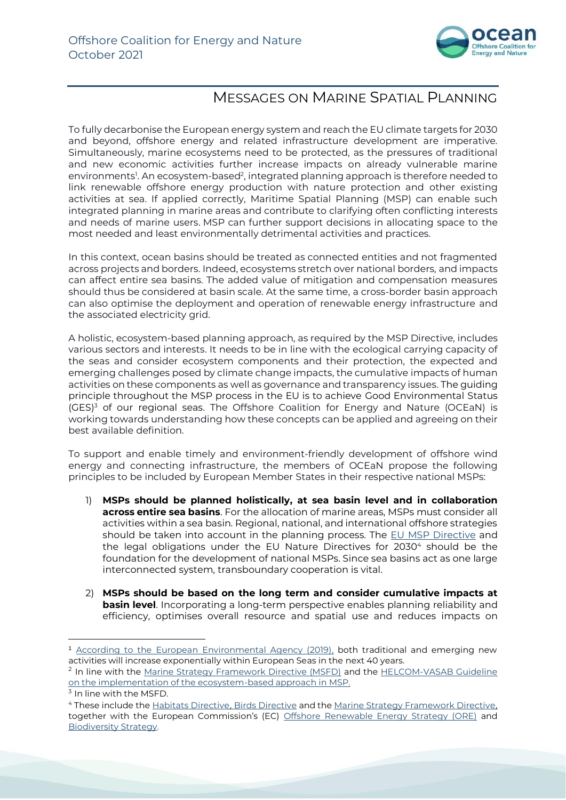

## MESSAGES ON MARINE SPATIAL PLANNING

To fully decarbonise the European energy system and reach the EU climate targets for 2030 and beyond, offshore energy and related infrastructure development are imperative. Simultaneously, marine ecosystems need to be protected, as the pressures of traditional and new economic activities further increase impacts on already vulnerable marine environments<sup>1</sup>. An ecosystem-based<sup>2</sup>, integrated planning approach is therefore needed to link renewable offshore energy production with nature protection and other existing activities at sea. If applied correctly, Maritime Spatial Planning (MSP) can enable such integrated planning in marine areas and contribute to clarifying often conflicting interests and needs of marine users. MSP can further support decisions in allocating space to the most needed and least environmentally detrimental activities and practices.

In this context, ocean basins should be treated as connected entities and not fragmented across projects and borders. Indeed, ecosystems stretch over national borders, and impacts can affect entire sea basins. The added value of mitigation and compensation measures should thus be considered at basin scale. At the same time, a cross-border basin approach can also optimise the deployment and operation of renewable energy infrastructure and the associated electricity grid.

A holistic, ecosystem-based planning approach, as required by the MSP Directive, includes various sectors and interests. It needs to be in line with the ecological carrying capacity of the seas and consider ecosystem components and their protection, the expected and emerging challenges posed by climate change impacts, the cumulative impacts of human activities on these components as well as governance and transparency issues. The guiding principle throughout the MSP process in the EU is to achieve Good Environmental Status (GES)<sup>3</sup> of our regional seas. The Offshore Coalition for Energy and Nature (OCEaN) is working towards understanding how these concepts can be applied and agreeing on their best available definition.

To support and enable timely and environment-friendly development of offshore wind energy and connecting infrastructure, the members of OCEaN propose the following principles to be included by European Member States in their respective national MSPs:

- 1) **MSPs should be planned holistically, at sea basin level and in collaboration across entire sea basins**. For the allocation of marine areas, MSPs must consider all activities within a sea basin. Regional, national, and international offshore strategies should be taken into account in the planning process. The [EU MSP Directive](https://eur-lex.europa.eu/legal-content/EN/TXT/?uri=CELEX:32014L0089) and the legal obligations under the EU Nature Directives for 2030<sup>4</sup> should be the foundation for the development of national MSPs. Since sea basins act as one large interconnected system, transboundary cooperation is vital.
- 2) **MSPs should be based on the long term and consider cumulative impacts at basin level**. Incorporating a long-term perspective enables planning reliability and efficiency, optimises overall resource and spatial use and reduces impacts on

<sup>1</sup> [According to the European Environmental Agency \(2019\),](https://www.eea.europa.eu/publications/marine-messages-2/) both traditional and emerging new activities will increase exponentially within European Seas in the next 40 years.

<sup>&</sup>lt;sup>2</sup> In line with the <u>Marine Strategy Framework Directive (MSFD)</u> and the [HELCOM-VASAB Guideline](https://helcom.fi/media/documents/Guideline-for-the-implementation-of-ecosystem-based-approach-in-MSP-in-the-Baltic-Sea-area_June-2016.pdf) on the implementation of the ecosystem-based approach in MSP.

 $^{\text{3}}$  In line with the MSFD.

<sup>4</sup> These include the [Habitats Directive](https://eur-lex.europa.eu/legal-content/EN/TXT/PDF/?uri=CELEX:01992L0043-20130701&from=EN), [Birds Directive](https://eur-lex.europa.eu/legal-content/EN/TXT/PDF/?uri=CELEX:32009L0147&from=EN) and th[e Marine Strategy Framework Directive](https://eur-lex.europa.eu/legal-content/EN/TXT/PDF/?uri=CELEX:32008L0056&from=EN), together with the European Commission's (EC) [Offshore Renewable Energy Strategy \(ORE\)](https://eur-lex.europa.eu/legal-content/EN/TXT/?uri=COM%3A2020%3A741%3AFIN&qid=1605792629666) and [Biodiversity Strategy.](https://eur-lex.europa.eu/legal-content/EN/TXT/?qid=1590574123338&uri=CELEX:52020DC0380)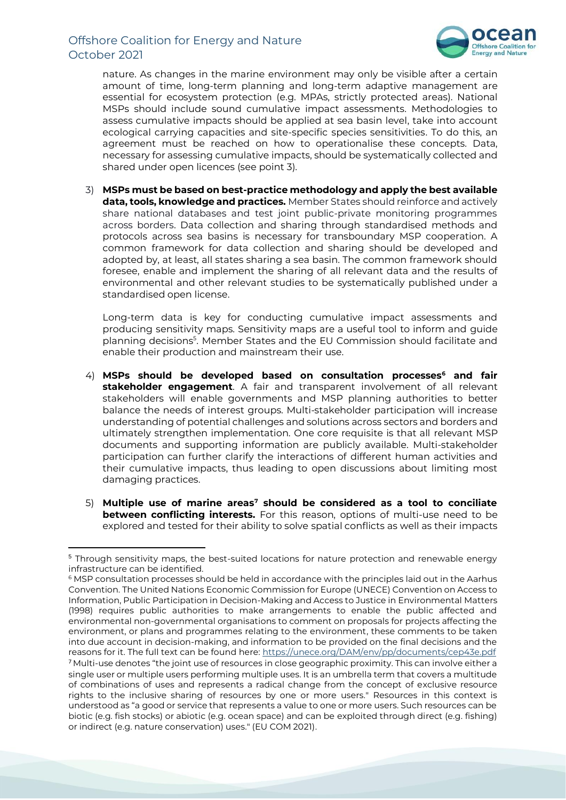## Offshore Coalition for Energy and Nature October 2021



nature. As changes in the marine environment may only be visible after a certain amount of time, long-term planning and long-term adaptive management are essential for ecosystem protection (e.g. MPAs, strictly protected areas). National MSPs should include sound cumulative impact assessments. Methodologies to assess cumulative impacts should be applied at sea basin level, take into account ecological carrying capacities and site-specific species sensitivities. To do this, an agreement must be reached on how to operationalise these concepts. Data, necessary for assessing cumulative impacts, should be systematically collected and shared under open licences (see point 3).

3) **MSPs must be based on best-practice methodology and apply the best available data, tools, knowledge and practices.** Member States should reinforce and actively share national databases and test joint public-private monitoring programmes across borders. Data collection and sharing through standardised methods and protocols across sea basins is necessary for transboundary MSP cooperation. A common framework for data collection and sharing should be developed and adopted by, at least, all states sharing a sea basin. The common framework should foresee, enable and implement the sharing of all relevant data and the results of environmental and other relevant studies to be systematically published under a standardised open license.

Long-term data is key for conducting cumulative impact assessments and producing sensitivity maps. Sensitivity maps are a useful tool to inform and guide planning decisions<sup>5</sup>. Member States and the EU Commission should facilitate and enable their production and mainstream their use.

- 4) **MSPs should be developed based on consultation processes<sup>6</sup> and fair stakeholder engagement**. A fair and transparent involvement of all relevant stakeholders will enable governments and MSP planning authorities to better balance the needs of interest groups. Multi-stakeholder participation will increase understanding of potential challenges and solutions across sectors and borders and ultimately strengthen implementation. One core requisite is that all relevant MSP documents and supporting information are publicly available. Multi-stakeholder participation can further clarify the interactions of different human activities and their cumulative impacts, thus leading to open discussions about limiting most damaging practices.
- 5) **Multiple use of marine areas<sup>7</sup> should be considered as a tool to conciliate between conflicting interests.** For this reason, options of multi-use need to be explored and tested for their ability to solve spatial conflicts as well as their impacts

<sup>5</sup> Through sensitivity maps, the best-suited locations for nature protection and renewable energy infrastructure can be identified.

<sup>6</sup> MSP consultation processes should be held in accordance with the principles laid out in the Aarhus Convention. The United Nations Economic Commission for Europe (UNECE) Convention on Access to Information, Public Participation in Decision-Making and Access to Justice in Environmental Matters (1998) requires public authorities to make arrangements to enable the public affected and environmental non-governmental organisations to comment on proposals for projects affecting the environment, or plans and programmes relating to the environment, these comments to be taken into due account in decision-making, and information to be provided on the final decisions and the reasons for it. The full text can be found here: https://unece.org/DAM/env/pp/documents/cep43e.pdf <sup>7</sup> Multi-use denotes "the joint use of resources in close geographic proximity. This can involve either a single user or multiple users performing multiple uses. It is an umbrella term that covers a multitude of combinations of uses and represents a radical change from the concept of exclusive resource rights to the inclusive sharing of resources by one or more users." Resources in this context is understood as "a good or service that represents a value to one or more users. Such resources can be biotic (e.g. fish stocks) or abiotic (e.g. ocean space) and can be exploited through direct (e.g. fishing) or indirect (e.g. nature conservation) uses." (EU COM 2021).